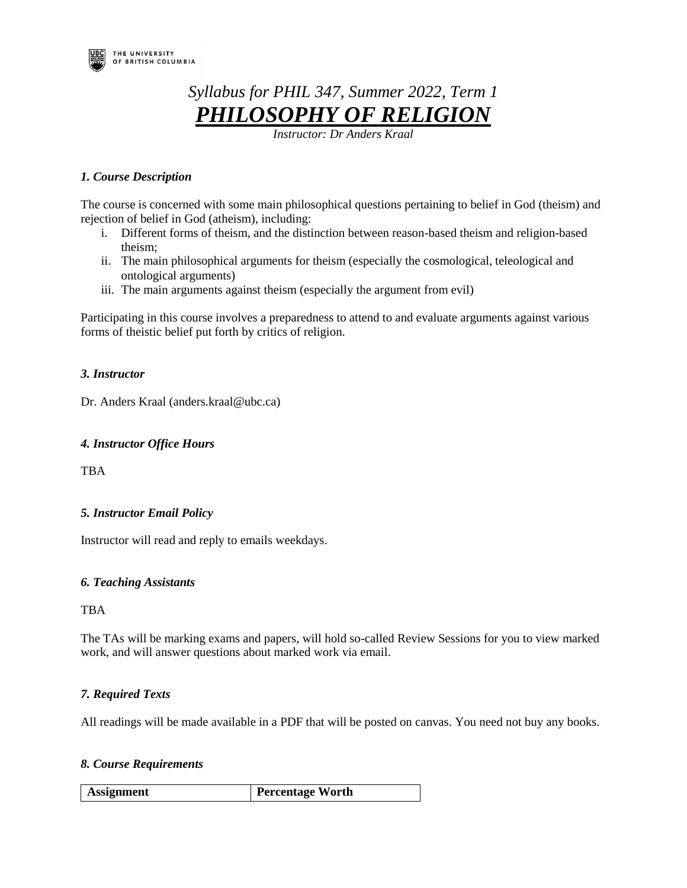

# *Syllabus for PHIL 347, Summer 2022, Term 1 PHILOSOPHY OF RELIGION*

*Instructor: Dr Anders Kraal* 

# *1. Course Description*

The course is concerned with some main philosophical questions pertaining to belief in God (theism) and rejection of belief in God (atheism), including:

- i. Different forms of theism, and the distinction between reason-based theism and religion-based theism;
- ii. The main philosophical arguments for theism (especially the cosmological, teleological and ontological arguments)
- iii. The main arguments against theism (especially the argument from evil)

Participating in this course involves a preparedness to attend to and evaluate arguments against various forms of theistic belief put forth by critics of religion.

# *3. Instructor*

Dr. Anders Kraal (anders.kraal@ubc.ca)

# *4. Instructor Office Hours*

TBA

# *5. Instructor Email Policy*

Instructor will read and reply to emails weekdays.

# *6. Teaching Assistants*

TBA

The TAs will be marking exams and papers, will hold so-called Review Sessions for you to view marked work, and will answer questions about marked work via email.

# *7. Required Texts*

All readings will be made available in a PDF that will be posted on canvas. You need not buy any books.

# *8. Course Requirements*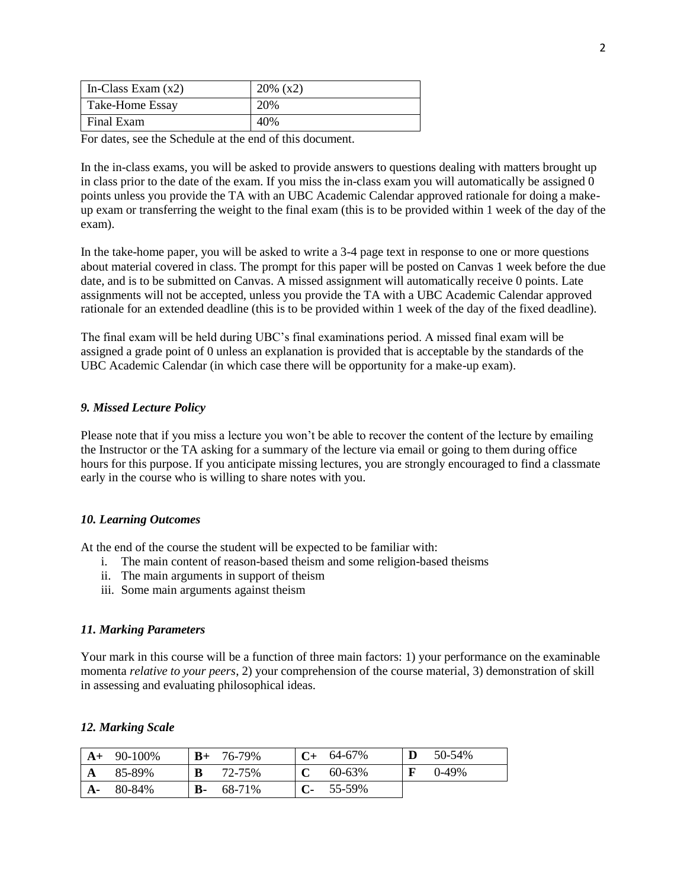| In-Class Exam $(x2)$   | $20\%$ (x2) |
|------------------------|-------------|
| <b>Take-Home Essay</b> | 20%         |
| Final Exam             | 40%         |

For dates, see the Schedule at the end of this document.

In the in-class exams, you will be asked to provide answers to questions dealing with matters brought up in class prior to the date of the exam. If you miss the in-class exam you will automatically be assigned 0 points unless you provide the TA with an UBC Academic Calendar approved rationale for doing a makeup exam or transferring the weight to the final exam (this is to be provided within 1 week of the day of the exam).

In the take-home paper, you will be asked to write a 3-4 page text in response to one or more questions about material covered in class. The prompt for this paper will be posted on Canvas 1 week before the due date, and is to be submitted on Canvas. A missed assignment will automatically receive 0 points. Late assignments will not be accepted, unless you provide the TA with a UBC Academic Calendar approved rationale for an extended deadline (this is to be provided within 1 week of the day of the fixed deadline).

The final exam will be held during UBC's final examinations period. A missed final exam will be assigned a grade point of 0 unless an explanation is provided that is acceptable by the standards of the UBC Academic Calendar (in which case there will be opportunity for a make-up exam).

## *9. Missed Lecture Policy*

Please note that if you miss a lecture you won't be able to recover the content of the lecture by emailing the Instructor or the TA asking for a summary of the lecture via email or going to them during office hours for this purpose. If you anticipate missing lectures, you are strongly encouraged to find a classmate early in the course who is willing to share notes with you.

#### *10. Learning Outcomes*

At the end of the course the student will be expected to be familiar with:

- i. The main content of reason-based theism and some religion-based theisms
- ii. The main arguments in support of theism
- iii. Some main arguments against theism

#### *11. Marking Parameters*

Your mark in this course will be a function of three main factors: 1) your performance on the examinable momenta *relative to your peers*, 2) your comprehension of the course material, 3) demonstration of skill in assessing and evaluating philosophical ideas.

#### *12. Marking Scale*

|      | $A+ 90-100\%$ | $B+$ | 76-79% |    | $C+ 64-67\%$ | 50-54%   |
|------|---------------|------|--------|----|--------------|----------|
| A    | 85-89%        | B    | 72-75% |    | 60-63%       | $0-49\%$ |
| $A-$ | 80-84%        | В-   | 68-71% | C- | 55-59%       |          |